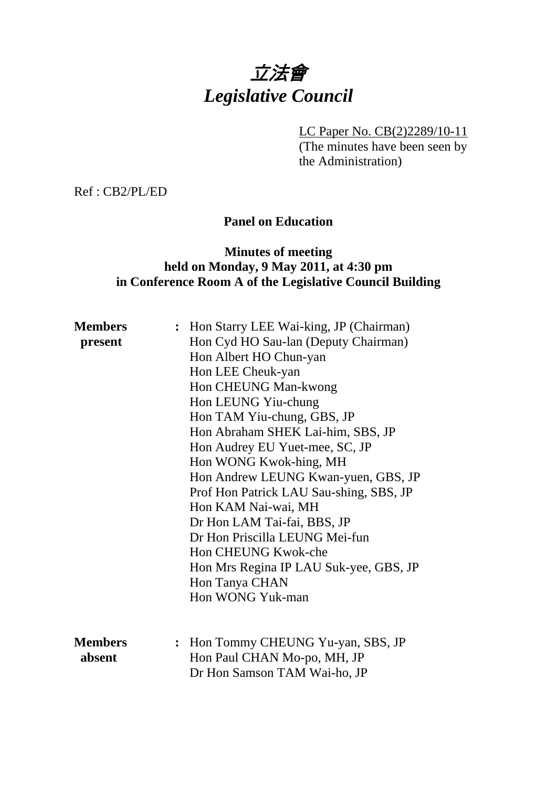# 立法會 *Legislative Council*

LC Paper No. CB(2)2289/10-11

(The minutes have been seen by the Administration)

Ref : CB2/PL/ED

# **Panel on Education**

# **Minutes of meeting held on Monday, 9 May 2011, at 4:30 pm in Conference Room A of the Legislative Council Building**

| <b>Members</b> | : Hon Starry LEE Wai-king, JP (Chairman) |
|----------------|------------------------------------------|
| present        | Hon Cyd HO Sau-lan (Deputy Chairman)     |
|                | Hon Albert HO Chun-yan                   |
|                | Hon LEE Cheuk-yan                        |
|                | Hon CHEUNG Man-kwong                     |
|                | Hon LEUNG Yiu-chung                      |
|                | Hon TAM Yiu-chung, GBS, JP               |
|                | Hon Abraham SHEK Lai-him, SBS, JP        |
|                | Hon Audrey EU Yuet-mee, SC, JP           |
|                | Hon WONG Kwok-hing, MH                   |
|                | Hon Andrew LEUNG Kwan-yuen, GBS, JP      |
|                | Prof Hon Patrick LAU Sau-shing, SBS, JP  |
|                | Hon KAM Nai-wai, MH                      |
|                | Dr Hon LAM Tai-fai, BBS, JP              |
|                | Dr Hon Priscilla LEUNG Mei-fun           |
|                | Hon CHEUNG Kwok-che                      |
|                | Hon Mrs Regina IP LAU Suk-yee, GBS, JP   |
|                | Hon Tanya CHAN                           |
|                | Hon WONG Yuk-man                         |
|                |                                          |
|                |                                          |
| <b>Members</b> | : Hon Tommy CHEUNG Yu-yan, SBS, JP       |
| absent         | Hon Paul CHAN Mo-po, MH, JP              |
|                | Dr Hon Samson TAM Wai-ho, JP             |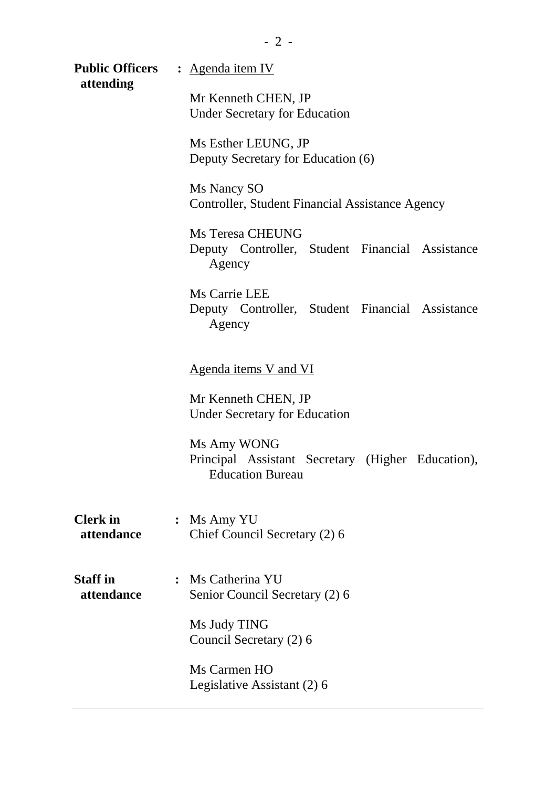|                                                             | <b>Public Officers</b> : Agenda item IV                                                                                                                                                           |  |  |  |                                                                                      |
|-------------------------------------------------------------|---------------------------------------------------------------------------------------------------------------------------------------------------------------------------------------------------|--|--|--|--------------------------------------------------------------------------------------|
| attending                                                   | Mr Kenneth CHEN, JP<br><b>Under Secretary for Education</b><br>Ms Esther LEUNG, JP<br>Deputy Secretary for Education (6)<br>Ms Nancy SO<br><b>Controller, Student Financial Assistance Agency</b> |  |  |  |                                                                                      |
|                                                             |                                                                                                                                                                                                   |  |  |  | <b>Ms Teresa CHEUNG</b><br>Deputy Controller, Student Financial Assistance<br>Agency |
|                                                             |                                                                                                                                                                                                   |  |  |  | Ms Carrie LEE<br>Deputy Controller, Student Financial Assistance<br>Agency           |
| <u>Agenda items V and VI</u>                                |                                                                                                                                                                                                   |  |  |  |                                                                                      |
| Mr Kenneth CHEN, JP<br><b>Under Secretary for Education</b> |                                                                                                                                                                                                   |  |  |  |                                                                                      |
|                                                             | Ms Amy WONG<br>Principal Assistant Secretary (Higher Education),<br><b>Education Bureau</b>                                                                                                       |  |  |  |                                                                                      |
| <b>Clerk</b> in<br>attendance                               | $:$ Ms Amy YU<br>Chief Council Secretary (2) 6                                                                                                                                                    |  |  |  |                                                                                      |
| <b>Staff</b> in<br>attendance                               | : Ms Catherina YU<br>Senior Council Secretary (2) 6                                                                                                                                               |  |  |  |                                                                                      |
|                                                             | Ms Judy TING<br>Council Secretary (2) 6                                                                                                                                                           |  |  |  |                                                                                      |
|                                                             | Ms Carmen HO<br>Legislative Assistant (2) 6                                                                                                                                                       |  |  |  |                                                                                      |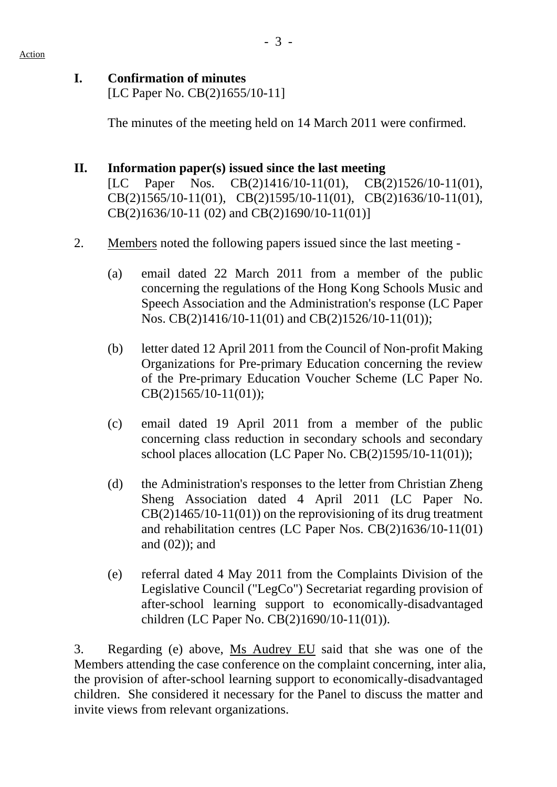#### **I. Confirmation of minutes**

[LC Paper No. CB(2)1655/10-11]

The minutes of the meeting held on 14 March 2011 were confirmed.

### **II. Information paper(s) issued since the last meeting**

[LC Paper Nos. CB(2)1416/10-11(01), CB(2)1526/10-11(01), CB(2)1565/10-11(01), CB(2)1595/10-11(01), CB(2)1636/10-11(01), CB(2)1636/10-11 (02) and CB(2)1690/10-11(01)]

- 2. Members noted the following papers issued since the last meeting
	- (a) email dated 22 March 2011 from a member of the public concerning the regulations of the Hong Kong Schools Music and Speech Association and the Administration's response (LC Paper Nos. CB(2)1416/10-11(01) and CB(2)1526/10-11(01));
	- (b) letter dated 12 April 2011 from the Council of Non-profit Making Organizations for Pre-primary Education concerning the review of the Pre-primary Education Voucher Scheme (LC Paper No. CB(2)1565/10-11(01));
	- (c) email dated 19 April 2011 from a member of the public concerning class reduction in secondary schools and secondary school places allocation (LC Paper No. CB(2)1595/10-11(01));
	- (d) the Administration's responses to the letter from Christian Zheng Sheng Association dated 4 April 2011 (LC Paper No.  $CB(2)1465/10-11(01)$  on the reprovisioning of its drug treatment and rehabilitation centres (LC Paper Nos. CB(2)1636/10-11(01) and (02)); and
	- (e) referral dated 4 May 2011 from the Complaints Division of the Legislative Council ("LegCo") Secretariat regarding provision of after-school learning support to economically-disadvantaged children (LC Paper No. CB(2)1690/10-11(01)).

3. Regarding (e) above, Ms Audrey EU said that she was one of the Members attending the case conference on the complaint concerning, inter alia, the provision of after-school learning support to economically-disadvantaged children. She considered it necessary for the Panel to discuss the matter and invite views from relevant organizations.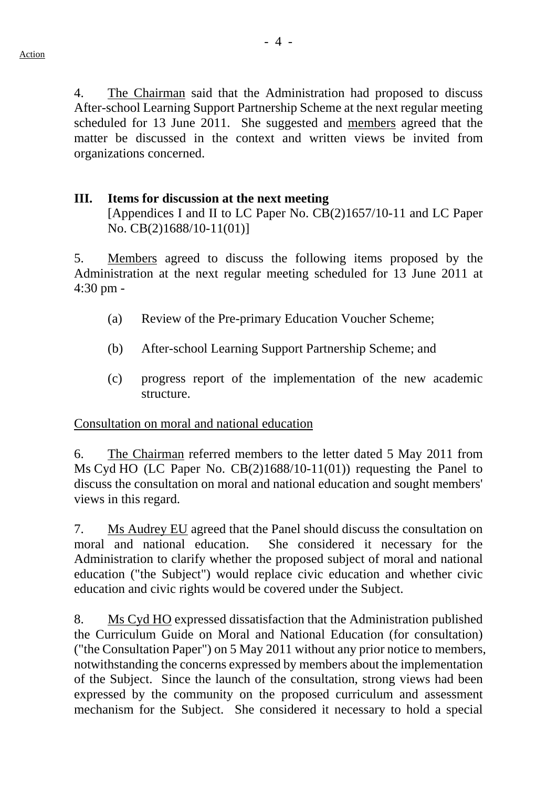4. The Chairman said that the Administration had proposed to discuss After-school Learning Support Partnership Scheme at the next regular meeting scheduled for 13 June 2011. She suggested and members agreed that the matter be discussed in the context and written views be invited from organizations concerned.

#### **III. Items for discussion at the next meeting**  [Appendices I and II to LC Paper No. CB(2)1657/10-11 and LC Paper No. CB(2)1688/10-11(01)]

5. Members agreed to discuss the following items proposed by the Administration at the next regular meeting scheduled for 13 June 2011 at 4:30 pm -

- (a) Review of the Pre-primary Education Voucher Scheme;
- (b) After-school Learning Support Partnership Scheme; and
- (c) progress report of the implementation of the new academic structure.

Consultation on moral and national education

6. The Chairman referred members to the letter dated 5 May 2011 from Ms Cyd HO (LC Paper No. CB(2)1688/10-11(01)) requesting the Panel to discuss the consultation on moral and national education and sought members' views in this regard.

7. Ms Audrey EU agreed that the Panel should discuss the consultation on moral and national education. She considered it necessary for the Administration to clarify whether the proposed subject of moral and national education ("the Subject") would replace civic education and whether civic education and civic rights would be covered under the Subject.

8. Ms Cyd HO expressed dissatisfaction that the Administration published the Curriculum Guide on Moral and National Education (for consultation) ("the Consultation Paper") on 5 May 2011 without any prior notice to members, notwithstanding the concerns expressed by members about the implementation of the Subject. Since the launch of the consultation, strong views had been expressed by the community on the proposed curriculum and assessment mechanism for the Subject. She considered it necessary to hold a special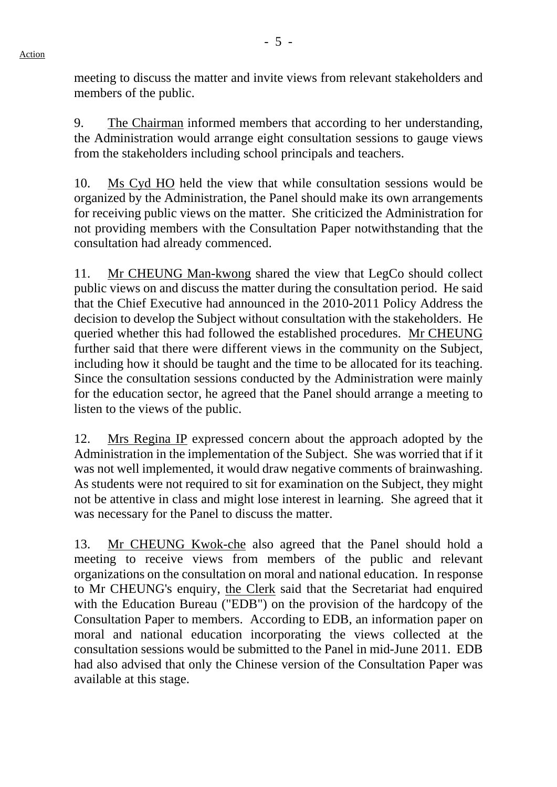meeting to discuss the matter and invite views from relevant stakeholders and members of the public.

9. The Chairman informed members that according to her understanding, the Administration would arrange eight consultation sessions to gauge views from the stakeholders including school principals and teachers.

10. Ms Cyd HO held the view that while consultation sessions would be organized by the Administration, the Panel should make its own arrangements for receiving public views on the matter. She criticized the Administration for not providing members with the Consultation Paper notwithstanding that the consultation had already commenced.

11. Mr CHEUNG Man-kwong shared the view that LegCo should collect public views on and discuss the matter during the consultation period. He said that the Chief Executive had announced in the 2010-2011 Policy Address the decision to develop the Subject without consultation with the stakeholders. He queried whether this had followed the established procedures. Mr CHEUNG further said that there were different views in the community on the Subject, including how it should be taught and the time to be allocated for its teaching. Since the consultation sessions conducted by the Administration were mainly for the education sector, he agreed that the Panel should arrange a meeting to listen to the views of the public.

12. Mrs Regina IP expressed concern about the approach adopted by the Administration in the implementation of the Subject. She was worried that if it was not well implemented, it would draw negative comments of brainwashing. As students were not required to sit for examination on the Subject, they might not be attentive in class and might lose interest in learning. She agreed that it was necessary for the Panel to discuss the matter.

13. Mr CHEUNG Kwok-che also agreed that the Panel should hold a meeting to receive views from members of the public and relevant organizations on the consultation on moral and national education. In response to Mr CHEUNG's enquiry, the Clerk said that the Secretariat had enquired with the Education Bureau ("EDB") on the provision of the hardcopy of the Consultation Paper to members. According to EDB, an information paper on moral and national education incorporating the views collected at the consultation sessions would be submitted to the Panel in mid-June 2011. EDB had also advised that only the Chinese version of the Consultation Paper was available at this stage.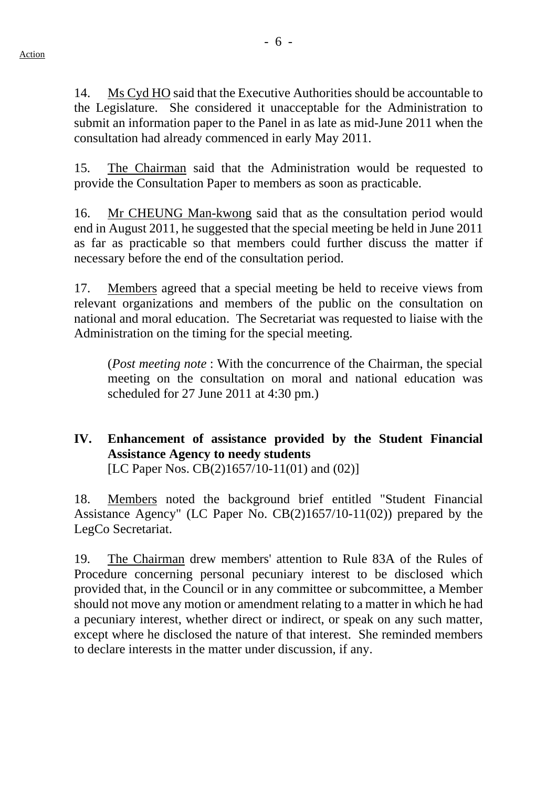- 6 -

14. Ms Cyd HO said that the Executive Authorities should be accountable to the Legislature. She considered it unacceptable for the Administration to submit an information paper to the Panel in as late as mid-June 2011 when the consultation had already commenced in early May 2011.

15. The Chairman said that the Administration would be requested to provide the Consultation Paper to members as soon as practicable.

16. Mr CHEUNG Man-kwong said that as the consultation period would end in August 2011, he suggested that the special meeting be held in June 2011 as far as practicable so that members could further discuss the matter if necessary before the end of the consultation period.

17. Members agreed that a special meeting be held to receive views from relevant organizations and members of the public on the consultation on national and moral education. The Secretariat was requested to liaise with the Administration on the timing for the special meeting.

(*Post meeting note* : With the concurrence of the Chairman, the special meeting on the consultation on moral and national education was scheduled for 27 June 2011 at 4:30 pm.)

# **IV. Enhancement of assistance provided by the Student Financial Assistance Agency to needy students**  [LC Paper Nos. CB(2)1657/10-11(01) and (02)]

18. Members noted the background brief entitled "Student Financial Assistance Agency" (LC Paper No. CB(2)1657/10-11(02)) prepared by the LegCo Secretariat.

19. The Chairman drew members' attention to Rule 83A of the Rules of Procedure concerning personal pecuniary interest to be disclosed which provided that, in the Council or in any committee or subcommittee, a Member should not move any motion or amendment relating to a matter in which he had a pecuniary interest, whether direct or indirect, or speak on any such matter, except where he disclosed the nature of that interest. She reminded members to declare interests in the matter under discussion, if any.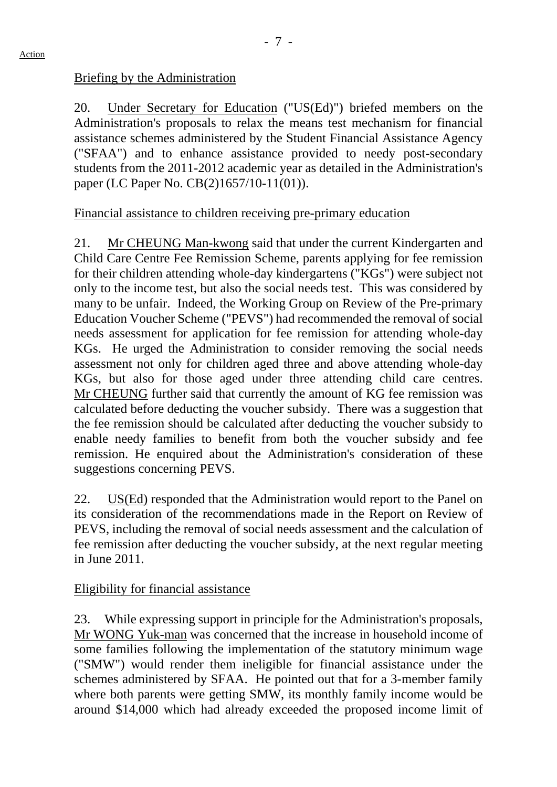# Briefing by the Administration

20. Under Secretary for Education ("US(Ed)") briefed members on the Administration's proposals to relax the means test mechanism for financial assistance schemes administered by the Student Financial Assistance Agency ("SFAA") and to enhance assistance provided to needy post-secondary students from the 2011-2012 academic year as detailed in the Administration's paper (LC Paper No. CB(2)1657/10-11(01)).

# Financial assistance to children receiving pre-primary education

21. Mr CHEUNG Man-kwong said that under the current Kindergarten and Child Care Centre Fee Remission Scheme, parents applying for fee remission for their children attending whole-day kindergartens ("KGs") were subject not only to the income test, but also the social needs test. This was considered by many to be unfair. Indeed, the Working Group on Review of the Pre-primary Education Voucher Scheme ("PEVS") had recommended the removal of social needs assessment for application for fee remission for attending whole-day KGs. He urged the Administration to consider removing the social needs assessment not only for children aged three and above attending whole-day KGs, but also for those aged under three attending child care centres. Mr CHEUNG further said that currently the amount of KG fee remission was calculated before deducting the voucher subsidy. There was a suggestion that the fee remission should be calculated after deducting the voucher subsidy to enable needy families to benefit from both the voucher subsidy and fee remission. He enquired about the Administration's consideration of these suggestions concerning PEVS.

22. US(Ed) responded that the Administration would report to the Panel on its consideration of the recommendations made in the Report on Review of PEVS, including the removal of social needs assessment and the calculation of fee remission after deducting the voucher subsidy, at the next regular meeting in June 2011.

## Eligibility for financial assistance

23. While expressing support in principle for the Administration's proposals, Mr WONG Yuk-man was concerned that the increase in household income of some families following the implementation of the statutory minimum wage ("SMW") would render them ineligible for financial assistance under the schemes administered by SFAA. He pointed out that for a 3-member family where both parents were getting SMW, its monthly family income would be around \$14,000 which had already exceeded the proposed income limit of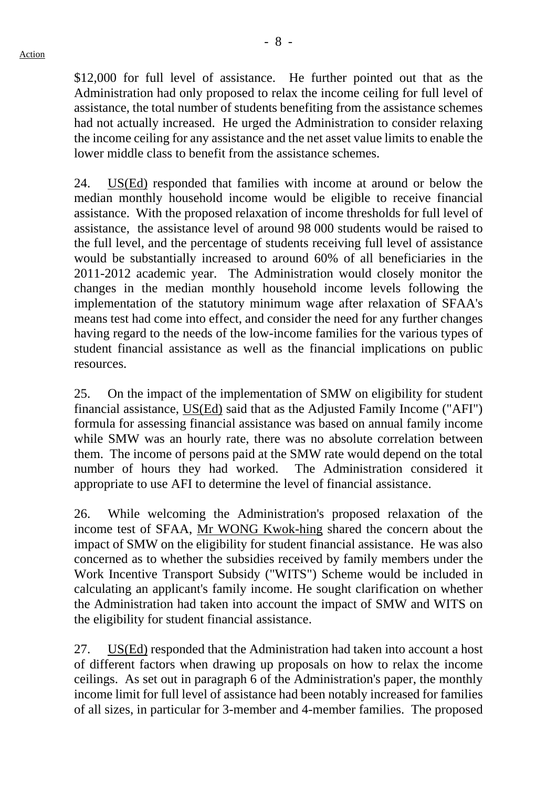- 8 -

\$12,000 for full level of assistance. He further pointed out that as the Administration had only proposed to relax the income ceiling for full level of assistance, the total number of students benefiting from the assistance schemes had not actually increased. He urged the Administration to consider relaxing the income ceiling for any assistance and the net asset value limits to enable the lower middle class to benefit from the assistance schemes.

24. US(Ed) responded that families with income at around or below the median monthly household income would be eligible to receive financial assistance. With the proposed relaxation of income thresholds for full level of assistance, the assistance level of around 98 000 students would be raised to the full level, and the percentage of students receiving full level of assistance would be substantially increased to around 60% of all beneficiaries in the 2011-2012 academic year. The Administration would closely monitor the changes in the median monthly household income levels following the implementation of the statutory minimum wage after relaxation of SFAA's means test had come into effect, and consider the need for any further changes having regard to the needs of the low-income families for the various types of student financial assistance as well as the financial implications on public resources.

25. On the impact of the implementation of SMW on eligibility for student financial assistance, US(Ed) said that as the Adjusted Family Income ("AFI") formula for assessing financial assistance was based on annual family income while SMW was an hourly rate, there was no absolute correlation between them. The income of persons paid at the SMW rate would depend on the total number of hours they had worked. The Administration considered it appropriate to use AFI to determine the level of financial assistance.

26. While welcoming the Administration's proposed relaxation of the income test of SFAA, Mr WONG Kwok-hing shared the concern about the impact of SMW on the eligibility for student financial assistance. He was also concerned as to whether the subsidies received by family members under the Work Incentive Transport Subsidy ("WITS") Scheme would be included in calculating an applicant's family income. He sought clarification on whether the Administration had taken into account the impact of SMW and WITS on the eligibility for student financial assistance.

27. US(Ed) responded that the Administration had taken into account a host of different factors when drawing up proposals on how to relax the income ceilings. As set out in paragraph 6 of the Administration's paper, the monthly income limit for full level of assistance had been notably increased for families of all sizes, in particular for 3-member and 4-member families. The proposed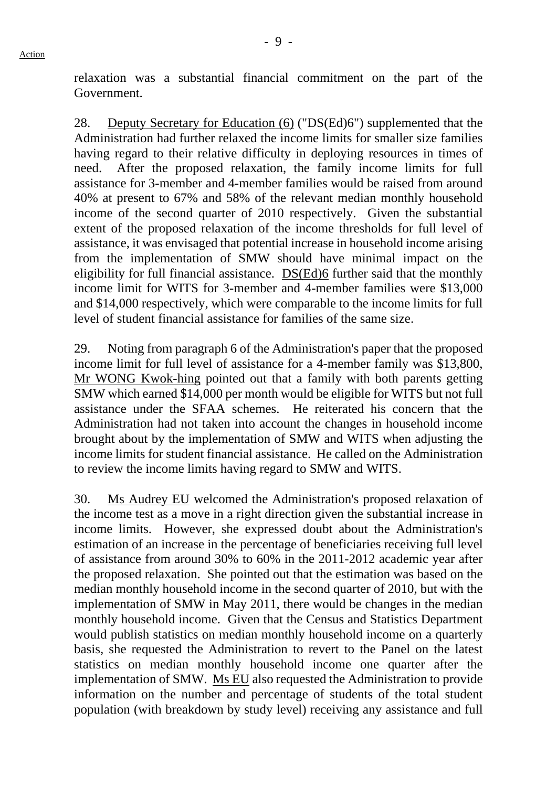relaxation was a substantial financial commitment on the part of the Government.

28. Deputy Secretary for Education (6) ("DS(Ed)6") supplemented that the Administration had further relaxed the income limits for smaller size families having regard to their relative difficulty in deploying resources in times of need. After the proposed relaxation, the family income limits for full assistance for 3-member and 4-member families would be raised from around 40% at present to 67% and 58% of the relevant median monthly household income of the second quarter of 2010 respectively. Given the substantial extent of the proposed relaxation of the income thresholds for full level of assistance, it was envisaged that potential increase in household income arising from the implementation of SMW should have minimal impact on the eligibility for full financial assistance. DS(Ed)6 further said that the monthly income limit for WITS for 3-member and 4-member families were \$13,000 and \$14,000 respectively, which were comparable to the income limits for full level of student financial assistance for families of the same size.

29. Noting from paragraph 6 of the Administration's paper that the proposed income limit for full level of assistance for a 4-member family was \$13,800, Mr WONG Kwok-hing pointed out that a family with both parents getting SMW which earned \$14,000 per month would be eligible for WITS but not full assistance under the SFAA schemes. He reiterated his concern that the Administration had not taken into account the changes in household income brought about by the implementation of SMW and WITS when adjusting the income limits for student financial assistance. He called on the Administration to review the income limits having regard to SMW and WITS.

30. Ms Audrey EU welcomed the Administration's proposed relaxation of the income test as a move in a right direction given the substantial increase in income limits. However, she expressed doubt about the Administration's estimation of an increase in the percentage of beneficiaries receiving full level of assistance from around 30% to 60% in the 2011-2012 academic year after the proposed relaxation. She pointed out that the estimation was based on the median monthly household income in the second quarter of 2010, but with the implementation of SMW in May 2011, there would be changes in the median monthly household income. Given that the Census and Statistics Department would publish statistics on median monthly household income on a quarterly basis, she requested the Administration to revert to the Panel on the latest statistics on median monthly household income one quarter after the implementation of SMW. Ms EU also requested the Administration to provide information on the number and percentage of students of the total student population (with breakdown by study level) receiving any assistance and full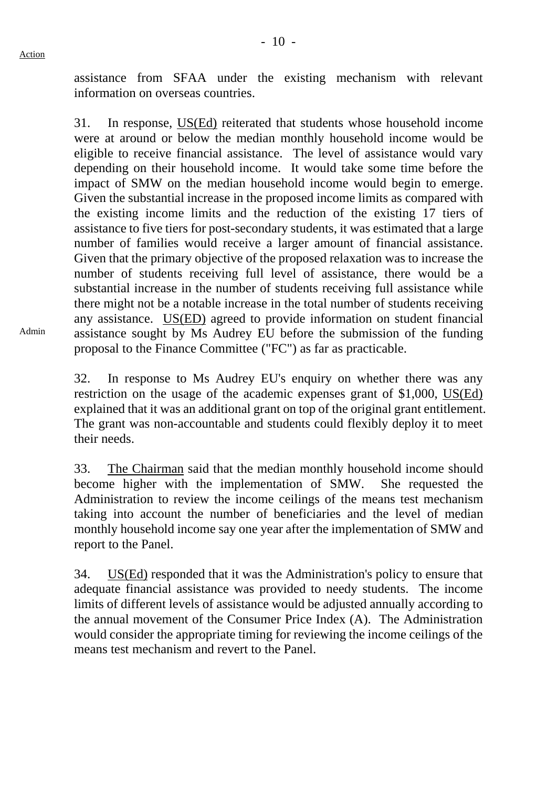assistance from SFAA under the existing mechanism with relevant information on overseas countries.

31. In response, US(Ed) reiterated that students whose household income were at around or below the median monthly household income would be eligible to receive financial assistance. The level of assistance would vary depending on their household income. It would take some time before the impact of SMW on the median household income would begin to emerge. Given the substantial increase in the proposed income limits as compared with the existing income limits and the reduction of the existing 17 tiers of assistance to five tiers for post-secondary students, it was estimated that a large number of families would receive a larger amount of financial assistance. Given that the primary objective of the proposed relaxation was to increase the number of students receiving full level of assistance, there would be a substantial increase in the number of students receiving full assistance while there might not be a notable increase in the total number of students receiving any assistance. US(ED) agreed to provide information on student financial assistance sought by Ms Audrey EU before the submission of the funding proposal to the Finance Committee ("FC") as far as practicable.

32. In response to Ms Audrey EU's enquiry on whether there was any restriction on the usage of the academic expenses grant of \$1,000, US(Ed) explained that it was an additional grant on top of the original grant entitlement. The grant was non-accountable and students could flexibly deploy it to meet their needs.

33. The Chairman said that the median monthly household income should become higher with the implementation of SMW. She requested the Administration to review the income ceilings of the means test mechanism taking into account the number of beneficiaries and the level of median monthly household income say one year after the implementation of SMW and report to the Panel.

34. US(Ed) responded that it was the Administration's policy to ensure that adequate financial assistance was provided to needy students. The income limits of different levels of assistance would be adjusted annually according to the annual movement of the Consumer Price Index (A). The Administration would consider the appropriate timing for reviewing the income ceilings of the means test mechanism and revert to the Panel.

Admin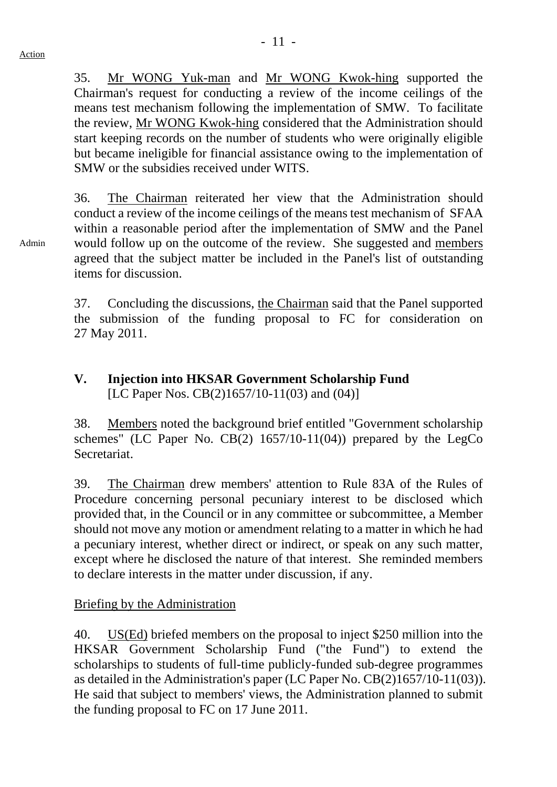35. Mr WONG Yuk-man and Mr WONG Kwok-hing supported the Chairman's request for conducting a review of the income ceilings of the means test mechanism following the implementation of SMW. To facilitate the review, Mr WONG Kwok-hing considered that the Administration should start keeping records on the number of students who were originally eligible but became ineligible for financial assistance owing to the implementation of SMW or the subsidies received under WITS.

36. The Chairman reiterated her view that the Administration should conduct a review of the income ceilings of the means test mechanism of SFAA within a reasonable period after the implementation of SMW and the Panel would follow up on the outcome of the review. She suggested and members agreed that the subject matter be included in the Panel's list of outstanding items for discussion.

37. Concluding the discussions, the Chairman said that the Panel supported the submission of the funding proposal to FC for consideration on 27 May 2011.

# **V. Injection into HKSAR Government Scholarship Fund**  [LC Paper Nos. CB(2)1657/10-11(03) and (04)]

38. Members noted the background brief entitled "Government scholarship schemes" (LC Paper No.  $CB(2)$  1657/10-11(04)) prepared by the LegCo Secretariat.

39. The Chairman drew members' attention to Rule 83A of the Rules of Procedure concerning personal pecuniary interest to be disclosed which provided that, in the Council or in any committee or subcommittee, a Member should not move any motion or amendment relating to a matter in which he had a pecuniary interest, whether direct or indirect, or speak on any such matter, except where he disclosed the nature of that interest. She reminded members to declare interests in the matter under discussion, if any.

# Briefing by the Administration

40. US(Ed) briefed members on the proposal to inject \$250 million into the HKSAR Government Scholarship Fund ("the Fund") to extend the scholarships to students of full-time publicly-funded sub-degree programmes as detailed in the Administration's paper (LC Paper No. CB(2)1657/10-11(03)). He said that subject to members' views, the Administration planned to submit the funding proposal to FC on 17 June 2011.

Admin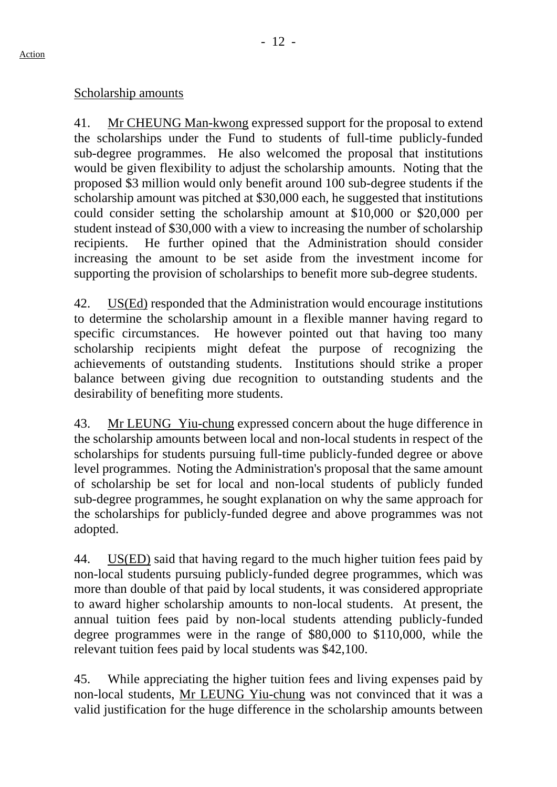# Scholarship amounts

41. Mr CHEUNG Man-kwong expressed support for the proposal to extend the scholarships under the Fund to students of full-time publicly-funded sub-degree programmes. He also welcomed the proposal that institutions would be given flexibility to adjust the scholarship amounts. Noting that the proposed \$3 million would only benefit around 100 sub-degree students if the scholarship amount was pitched at \$30,000 each, he suggested that institutions could consider setting the scholarship amount at \$10,000 or \$20,000 per student instead of \$30,000 with a view to increasing the number of scholarship recipients. He further opined that the Administration should consider increasing the amount to be set aside from the investment income for supporting the provision of scholarships to benefit more sub-degree students.

42. US(Ed) responded that the Administration would encourage institutions to determine the scholarship amount in a flexible manner having regard to specific circumstances. He however pointed out that having too many scholarship recipients might defeat the purpose of recognizing the achievements of outstanding students. Institutions should strike a proper balance between giving due recognition to outstanding students and the desirability of benefiting more students.

43. Mr LEUNG Yiu-chung expressed concern about the huge difference in the scholarship amounts between local and non-local students in respect of the scholarships for students pursuing full-time publicly-funded degree or above level programmes. Noting the Administration's proposal that the same amount of scholarship be set for local and non-local students of publicly funded sub-degree programmes, he sought explanation on why the same approach for the scholarships for publicly-funded degree and above programmes was not adopted.

44. US(ED) said that having regard to the much higher tuition fees paid by non-local students pursuing publicly-funded degree programmes, which was more than double of that paid by local students, it was considered appropriate to award higher scholarship amounts to non-local students. At present, the annual tuition fees paid by non-local students attending publicly-funded degree programmes were in the range of \$80,000 to \$110,000, while the relevant tuition fees paid by local students was \$42,100.

45. While appreciating the higher tuition fees and living expenses paid by non-local students, Mr LEUNG Yiu-chung was not convinced that it was a valid justification for the huge difference in the scholarship amounts between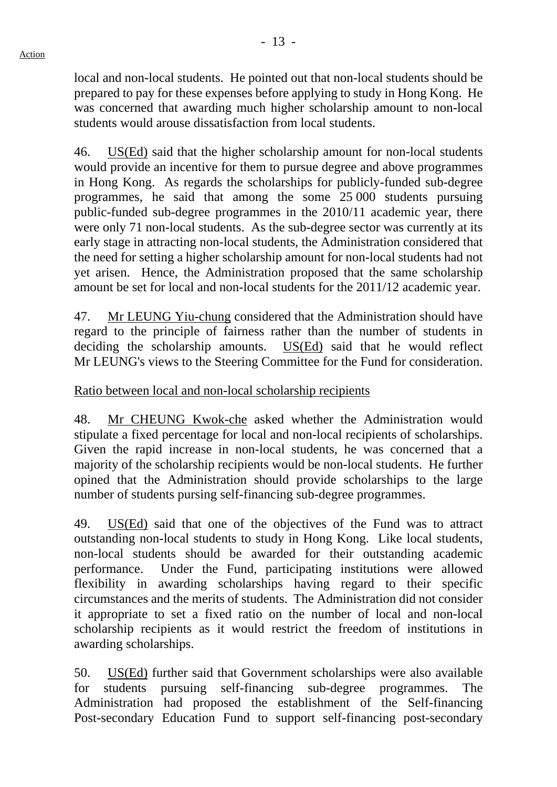local and non-local students. He pointed out that non-local students should be prepared to pay for these expenses before applying to study in Hong Kong. He was concerned that awarding much higher scholarship amount to non-local students would arouse dissatisfaction from local students.

46. US(Ed) said that the higher scholarship amount for non-local students would provide an incentive for them to pursue degree and above programmes in Hong Kong. As regards the scholarships for publicly-funded sub-degree programmes, he said that among the some 25 000 students pursuing public-funded sub-degree programmes in the 2010/11 academic year, there were only 71 non-local students. As the sub-degree sector was currently at its early stage in attracting non-local students, the Administration considered that the need for setting a higher scholarship amount for non-local students had not yet arisen. Hence, the Administration proposed that the same scholarship amount be set for local and non-local students for the 2011/12 academic year.

47. Mr LEUNG Yiu-chung considered that the Administration should have regard to the principle of fairness rather than the number of students in deciding the scholarship amounts. US(Ed) said that he would reflect Mr LEUNG's views to the Steering Committee for the Fund for consideration.

Ratio between local and non-local scholarship recipients

48. Mr CHEUNG Kwok-che asked whether the Administration would stipulate a fixed percentage for local and non-local recipients of scholarships. Given the rapid increase in non-local students, he was concerned that a majority of the scholarship recipients would be non-local students. He further opined that the Administration should provide scholarships to the large number of students pursing self-financing sub-degree programmes.

49. US(Ed) said that one of the objectives of the Fund was to attract outstanding non-local students to study in Hong Kong. Like local students, non-local students should be awarded for their outstanding academic performance. Under the Fund, participating institutions were allowed flexibility in awarding scholarships having regard to their specific circumstances and the merits of students. The Administration did not consider it appropriate to set a fixed ratio on the number of local and non-local scholarship recipients as it would restrict the freedom of institutions in awarding scholarships.

50. US(Ed) further said that Government scholarships were also available for students pursuing self-financing sub-degree programmes. The Administration had proposed the establishment of the Self-financing Post-secondary Education Fund to support self-financing post-secondary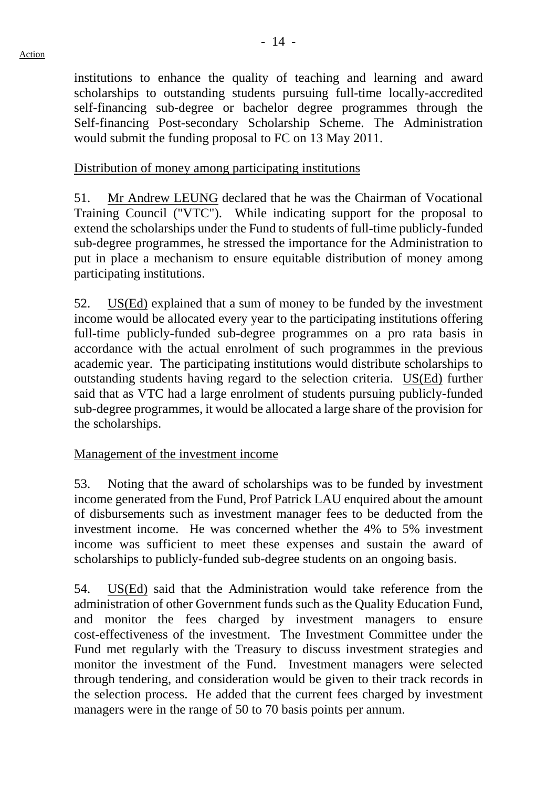institutions to enhance the quality of teaching and learning and award scholarships to outstanding students pursuing full-time locally-accredited self-financing sub-degree or bachelor degree programmes through the Self-financing Post-secondary Scholarship Scheme. The Administration would submit the funding proposal to FC on 13 May 2011.

# Distribution of money among participating institutions

51. Mr Andrew LEUNG declared that he was the Chairman of Vocational Training Council ("VTC"). While indicating support for the proposal to extend the scholarships under the Fund to students of full-time publicly-funded sub-degree programmes, he stressed the importance for the Administration to put in place a mechanism to ensure equitable distribution of money among participating institutions.

52. US(Ed) explained that a sum of money to be funded by the investment income would be allocated every year to the participating institutions offering full-time publicly-funded sub-degree programmes on a pro rata basis in accordance with the actual enrolment of such programmes in the previous academic year. The participating institutions would distribute scholarships to outstanding students having regard to the selection criteria. US(Ed) further said that as VTC had a large enrolment of students pursuing publicly-funded sub-degree programmes, it would be allocated a large share of the provision for the scholarships.

# Management of the investment income

53. Noting that the award of scholarships was to be funded by investment income generated from the Fund, Prof Patrick LAU enquired about the amount of disbursements such as investment manager fees to be deducted from the investment income. He was concerned whether the 4% to 5% investment income was sufficient to meet these expenses and sustain the award of scholarships to publicly-funded sub-degree students on an ongoing basis.

54. US(Ed) said that the Administration would take reference from the administration of other Government funds such as the Quality Education Fund, and monitor the fees charged by investment managers to ensure cost-effectiveness of the investment. The Investment Committee under the Fund met regularly with the Treasury to discuss investment strategies and monitor the investment of the Fund. Investment managers were selected through tendering, and consideration would be given to their track records in the selection process. He added that the current fees charged by investment managers were in the range of 50 to 70 basis points per annum.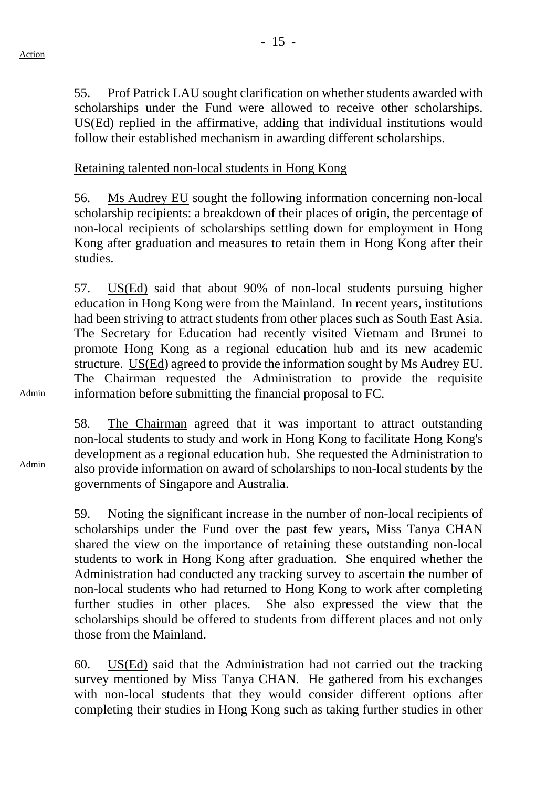55. Prof Patrick LAU sought clarification on whether students awarded with scholarships under the Fund were allowed to receive other scholarships. US(Ed) replied in the affirmative, adding that individual institutions would follow their established mechanism in awarding different scholarships.

Retaining talented non-local students in Hong Kong

56. Ms Audrey EU sought the following information concerning non-local scholarship recipients: a breakdown of their places of origin, the percentage of non-local recipients of scholarships settling down for employment in Hong Kong after graduation and measures to retain them in Hong Kong after their studies.

57. US(Ed) said that about 90% of non-local students pursuing higher education in Hong Kong were from the Mainland. In recent years, institutions had been striving to attract students from other places such as South East Asia. The Secretary for Education had recently visited Vietnam and Brunei to promote Hong Kong as a regional education hub and its new academic structure. US(Ed) agreed to provide the information sought by Ms Audrey EU. The Chairman requested the Administration to provide the requisite information before submitting the financial proposal to FC.

58. The Chairman agreed that it was important to attract outstanding non-local students to study and work in Hong Kong to facilitate Hong Kong's development as a regional education hub. She requested the Administration to also provide information on award of scholarships to non-local students by the governments of Singapore and Australia.

59. Noting the significant increase in the number of non-local recipients of scholarships under the Fund over the past few years, Miss Tanya CHAN shared the view on the importance of retaining these outstanding non-local students to work in Hong Kong after graduation. She enquired whether the Administration had conducted any tracking survey to ascertain the number of non-local students who had returned to Hong Kong to work after completing further studies in other places. She also expressed the view that the scholarships should be offered to students from different places and not only those from the Mainland.

60. US(Ed) said that the Administration had not carried out the tracking survey mentioned by Miss Tanya CHAN. He gathered from his exchanges with non-local students that they would consider different options after completing their studies in Hong Kong such as taking further studies in other

Admin

Admin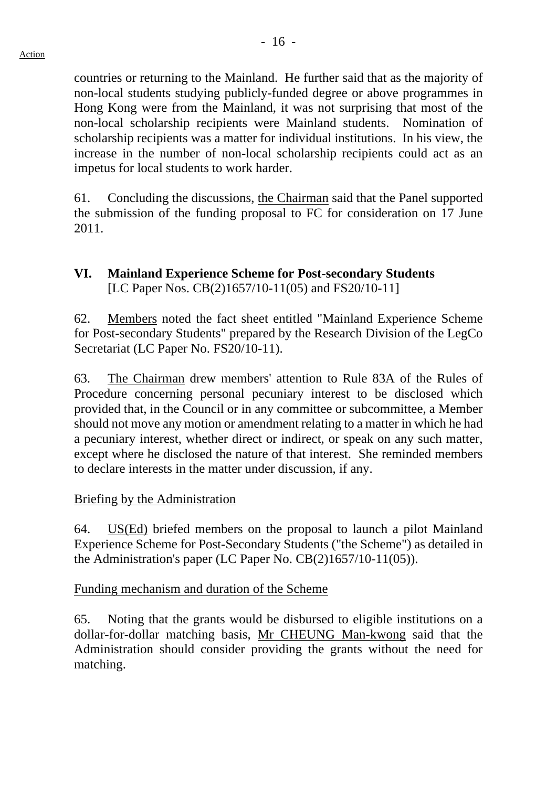countries or returning to the Mainland. He further said that as the majority of non-local students studying publicly-funded degree or above programmes in Hong Kong were from the Mainland, it was not surprising that most of the non-local scholarship recipients were Mainland students. Nomination of scholarship recipients was a matter for individual institutions. In his view, the increase in the number of non-local scholarship recipients could act as an impetus for local students to work harder.

61. Concluding the discussions, the Chairman said that the Panel supported the submission of the funding proposal to FC for consideration on 17 June 2011.

# **VI. Mainland Experience Scheme for Post-secondary Students**  [LC Paper Nos. CB(2)1657/10-11(05) and FS20/10-11]

62. Members noted the fact sheet entitled "Mainland Experience Scheme for Post-secondary Students" prepared by the Research Division of the LegCo Secretariat (LC Paper No. FS20/10-11).

63. The Chairman drew members' attention to Rule 83A of the Rules of Procedure concerning personal pecuniary interest to be disclosed which provided that, in the Council or in any committee or subcommittee, a Member should not move any motion or amendment relating to a matter in which he had a pecuniary interest, whether direct or indirect, or speak on any such matter, except where he disclosed the nature of that interest. She reminded members to declare interests in the matter under discussion, if any.

# Briefing by the Administration

64. US(Ed) briefed members on the proposal to launch a pilot Mainland Experience Scheme for Post-Secondary Students ("the Scheme") as detailed in the Administration's paper (LC Paper No. CB(2)1657/10-11(05)).

Funding mechanism and duration of the Scheme

65. Noting that the grants would be disbursed to eligible institutions on a dollar-for-dollar matching basis, Mr CHEUNG Man-kwong said that the Administration should consider providing the grants without the need for matching.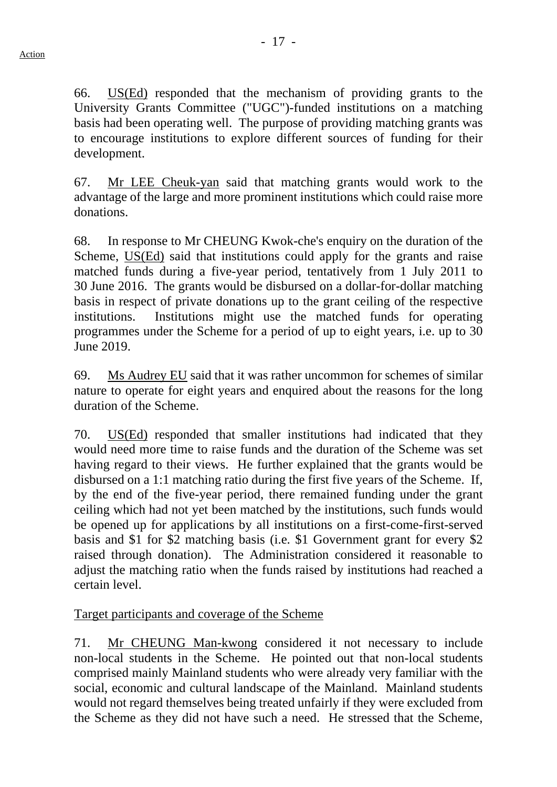66. US(Ed) responded that the mechanism of providing grants to the University Grants Committee ("UGC")-funded institutions on a matching basis had been operating well. The purpose of providing matching grants was to encourage institutions to explore different sources of funding for their development.

67. Mr LEE Cheuk-yan said that matching grants would work to the advantage of the large and more prominent institutions which could raise more donations.

68. In response to Mr CHEUNG Kwok-che's enquiry on the duration of the Scheme, US(Ed) said that institutions could apply for the grants and raise matched funds during a five-year period, tentatively from 1 July 2011 to 30 June 2016. The grants would be disbursed on a dollar-for-dollar matching basis in respect of private donations up to the grant ceiling of the respective institutions. Institutions might use the matched funds for operating programmes under the Scheme for a period of up to eight years, i.e. up to 30 June 2019.

69. Ms Audrey EU said that it was rather uncommon for schemes of similar nature to operate for eight years and enquired about the reasons for the long duration of the Scheme.

70. US(Ed) responded that smaller institutions had indicated that they would need more time to raise funds and the duration of the Scheme was set having regard to their views. He further explained that the grants would be disbursed on a 1:1 matching ratio during the first five years of the Scheme. If, by the end of the five-year period, there remained funding under the grant ceiling which had not yet been matched by the institutions, such funds would be opened up for applications by all institutions on a first-come-first-served basis and \$1 for \$2 matching basis (i.e. \$1 Government grant for every \$2 raised through donation). The Administration considered it reasonable to adjust the matching ratio when the funds raised by institutions had reached a certain level.

# Target participants and coverage of the Scheme

71. Mr CHEUNG Man-kwong considered it not necessary to include non-local students in the Scheme. He pointed out that non-local students comprised mainly Mainland students who were already very familiar with the social, economic and cultural landscape of the Mainland. Mainland students would not regard themselves being treated unfairly if they were excluded from the Scheme as they did not have such a need. He stressed that the Scheme,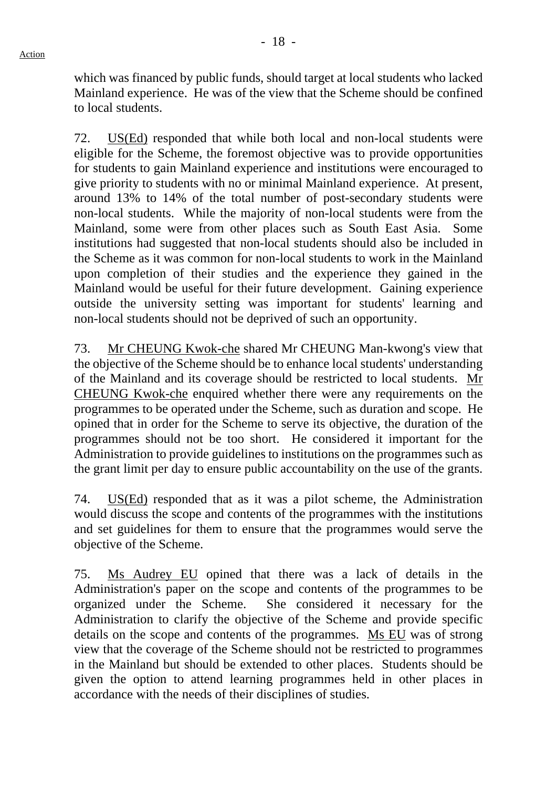which was financed by public funds, should target at local students who lacked Mainland experience. He was of the view that the Scheme should be confined to local students.

72. US(Ed) responded that while both local and non-local students were eligible for the Scheme, the foremost objective was to provide opportunities for students to gain Mainland experience and institutions were encouraged to give priority to students with no or minimal Mainland experience. At present, around 13% to 14% of the total number of post-secondary students were non-local students. While the majority of non-local students were from the Mainland, some were from other places such as South East Asia. Some institutions had suggested that non-local students should also be included in the Scheme as it was common for non-local students to work in the Mainland upon completion of their studies and the experience they gained in the Mainland would be useful for their future development. Gaining experience outside the university setting was important for students' learning and non-local students should not be deprived of such an opportunity.

73. Mr CHEUNG Kwok-che shared Mr CHEUNG Man-kwong's view that the objective of the Scheme should be to enhance local students' understanding of the Mainland and its coverage should be restricted to local students. Mr CHEUNG Kwok-che enquired whether there were any requirements on the programmes to be operated under the Scheme, such as duration and scope. He opined that in order for the Scheme to serve its objective, the duration of the programmes should not be too short. He considered it important for the Administration to provide guidelines to institutions on the programmes such as the grant limit per day to ensure public accountability on the use of the grants.

74. US(Ed) responded that as it was a pilot scheme, the Administration would discuss the scope and contents of the programmes with the institutions and set guidelines for them to ensure that the programmes would serve the objective of the Scheme.

75. Ms Audrey EU opined that there was a lack of details in the Administration's paper on the scope and contents of the programmes to be organized under the Scheme. She considered it necessary for the Administration to clarify the objective of the Scheme and provide specific details on the scope and contents of the programmes. Ms EU was of strong view that the coverage of the Scheme should not be restricted to programmes in the Mainland but should be extended to other places. Students should be given the option to attend learning programmes held in other places in accordance with the needs of their disciplines of studies.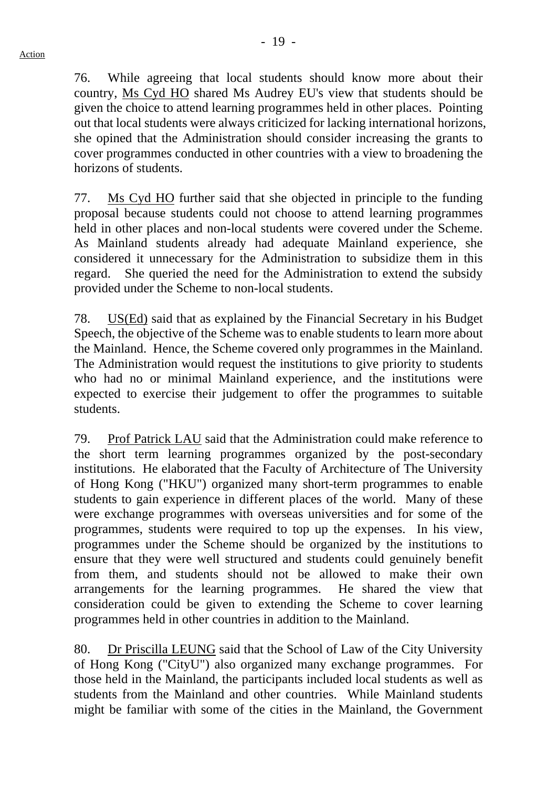76. While agreeing that local students should know more about their country, Ms Cyd HO shared Ms Audrey EU's view that students should be given the choice to attend learning programmes held in other places. Pointing out that local students were always criticized for lacking international horizons, she opined that the Administration should consider increasing the grants to cover programmes conducted in other countries with a view to broadening the horizons of students.

77. Ms Cyd HO further said that she objected in principle to the funding proposal because students could not choose to attend learning programmes held in other places and non-local students were covered under the Scheme. As Mainland students already had adequate Mainland experience, she considered it unnecessary for the Administration to subsidize them in this regard. She queried the need for the Administration to extend the subsidy provided under the Scheme to non-local students.

78. US(Ed) said that as explained by the Financial Secretary in his Budget Speech, the objective of the Scheme was to enable students to learn more about the Mainland. Hence, the Scheme covered only programmes in the Mainland. The Administration would request the institutions to give priority to students who had no or minimal Mainland experience, and the institutions were expected to exercise their judgement to offer the programmes to suitable students.

79. Prof Patrick LAU said that the Administration could make reference to the short term learning programmes organized by the post-secondary institutions. He elaborated that the Faculty of Architecture of The University of Hong Kong ("HKU") organized many short-term programmes to enable students to gain experience in different places of the world. Many of these were exchange programmes with overseas universities and for some of the programmes, students were required to top up the expenses. In his view, programmes under the Scheme should be organized by the institutions to ensure that they were well structured and students could genuinely benefit from them, and students should not be allowed to make their own arrangements for the learning programmes. He shared the view that consideration could be given to extending the Scheme to cover learning programmes held in other countries in addition to the Mainland.

80. Dr Priscilla LEUNG said that the School of Law of the City University of Hong Kong ("CityU") also organized many exchange programmes. For those held in the Mainland, the participants included local students as well as students from the Mainland and other countries. While Mainland students might be familiar with some of the cities in the Mainland, the Government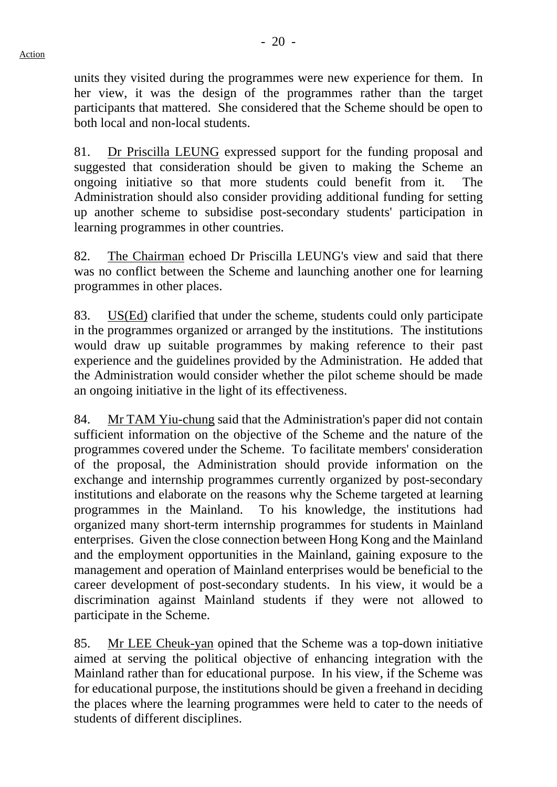units they visited during the programmes were new experience for them. In her view, it was the design of the programmes rather than the target participants that mattered. She considered that the Scheme should be open to both local and non-local students.

81. Dr Priscilla LEUNG expressed support for the funding proposal and suggested that consideration should be given to making the Scheme an ongoing initiative so that more students could benefit from it. The Administration should also consider providing additional funding for setting up another scheme to subsidise post-secondary students' participation in learning programmes in other countries.

82. The Chairman echoed Dr Priscilla LEUNG's view and said that there was no conflict between the Scheme and launching another one for learning programmes in other places.

83. US(Ed) clarified that under the scheme, students could only participate in the programmes organized or arranged by the institutions. The institutions would draw up suitable programmes by making reference to their past experience and the guidelines provided by the Administration. He added that the Administration would consider whether the pilot scheme should be made an ongoing initiative in the light of its effectiveness.

84. Mr TAM Yiu-chung said that the Administration's paper did not contain sufficient information on the objective of the Scheme and the nature of the programmes covered under the Scheme. To facilitate members' consideration of the proposal, the Administration should provide information on the exchange and internship programmes currently organized by post-secondary institutions and elaborate on the reasons why the Scheme targeted at learning programmes in the Mainland. To his knowledge, the institutions had organized many short-term internship programmes for students in Mainland enterprises. Given the close connection between Hong Kong and the Mainland and the employment opportunities in the Mainland, gaining exposure to the management and operation of Mainland enterprises would be beneficial to the career development of post-secondary students. In his view, it would be a discrimination against Mainland students if they were not allowed to participate in the Scheme.

85. Mr LEE Cheuk-yan opined that the Scheme was a top-down initiative aimed at serving the political objective of enhancing integration with the Mainland rather than for educational purpose. In his view, if the Scheme was for educational purpose, the institutions should be given a freehand in deciding the places where the learning programmes were held to cater to the needs of students of different disciplines.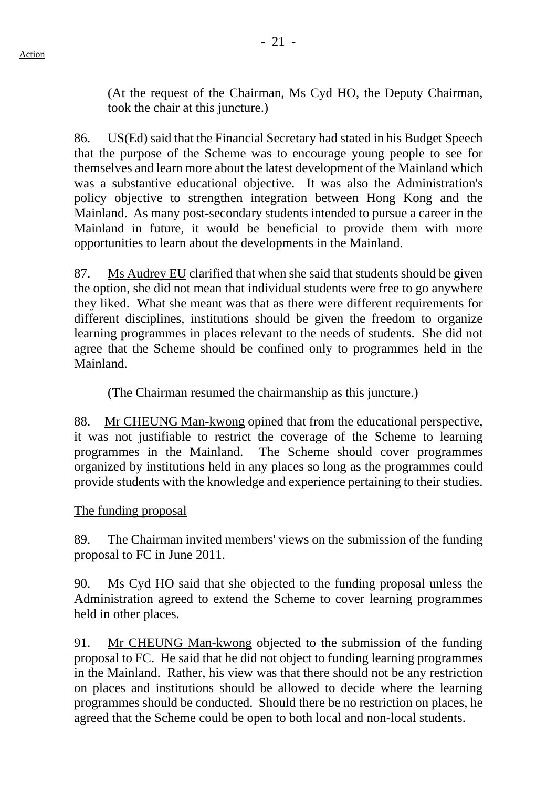(At the request of the Chairman, Ms Cyd HO, the Deputy Chairman, took the chair at this juncture.)

86. US(Ed) said that the Financial Secretary had stated in his Budget Speech that the purpose of the Scheme was to encourage young people to see for themselves and learn more about the latest development of the Mainland which was a substantive educational objective. It was also the Administration's policy objective to strengthen integration between Hong Kong and the Mainland. As many post-secondary students intended to pursue a career in the Mainland in future, it would be beneficial to provide them with more opportunities to learn about the developments in the Mainland.

87. Ms Audrey EU clarified that when she said that students should be given the option, she did not mean that individual students were free to go anywhere they liked. What she meant was that as there were different requirements for different disciplines, institutions should be given the freedom to organize learning programmes in places relevant to the needs of students. She did not agree that the Scheme should be confined only to programmes held in the Mainland.

(The Chairman resumed the chairmanship as this juncture.)

88. Mr CHEUNG Man-kwong opined that from the educational perspective, it was not justifiable to restrict the coverage of the Scheme to learning programmes in the Mainland. The Scheme should cover programmes organized by institutions held in any places so long as the programmes could provide students with the knowledge and experience pertaining to their studies.

#### The funding proposal

89. The Chairman invited members' views on the submission of the funding proposal to FC in June 2011.

90. Ms Cyd HO said that she objected to the funding proposal unless the Administration agreed to extend the Scheme to cover learning programmes held in other places.

91. Mr CHEUNG Man-kwong objected to the submission of the funding proposal to FC. He said that he did not object to funding learning programmes in the Mainland. Rather, his view was that there should not be any restriction on places and institutions should be allowed to decide where the learning programmes should be conducted. Should there be no restriction on places, he agreed that the Scheme could be open to both local and non-local students.